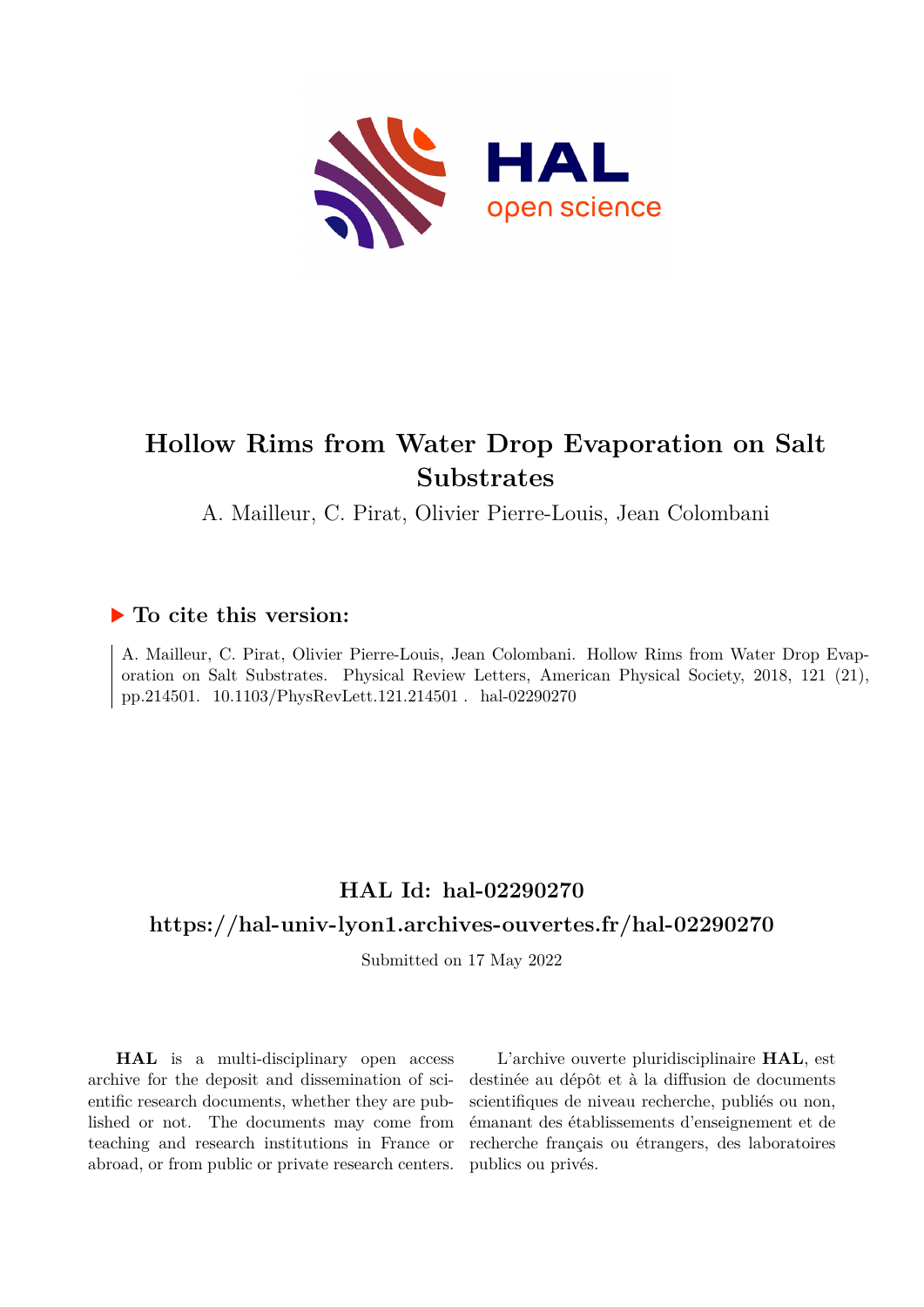

## **Hollow Rims from Water Drop Evaporation on Salt Substrates**

A. Mailleur, C. Pirat, Olivier Pierre-Louis, Jean Colombani

## **To cite this version:**

A. Mailleur, C. Pirat, Olivier Pierre-Louis, Jean Colombani. Hollow Rims from Water Drop Evaporation on Salt Substrates. Physical Review Letters, American Physical Society, 2018, 121 (21), pp.214501. 10.1103/PhysRevLett.121.214501. hal-02290270

## **HAL Id: hal-02290270 <https://hal-univ-lyon1.archives-ouvertes.fr/hal-02290270>**

Submitted on 17 May 2022

**HAL** is a multi-disciplinary open access archive for the deposit and dissemination of scientific research documents, whether they are published or not. The documents may come from teaching and research institutions in France or abroad, or from public or private research centers.

L'archive ouverte pluridisciplinaire **HAL**, est destinée au dépôt et à la diffusion de documents scientifiques de niveau recherche, publiés ou non, émanant des établissements d'enseignement et de recherche français ou étrangers, des laboratoires publics ou privés.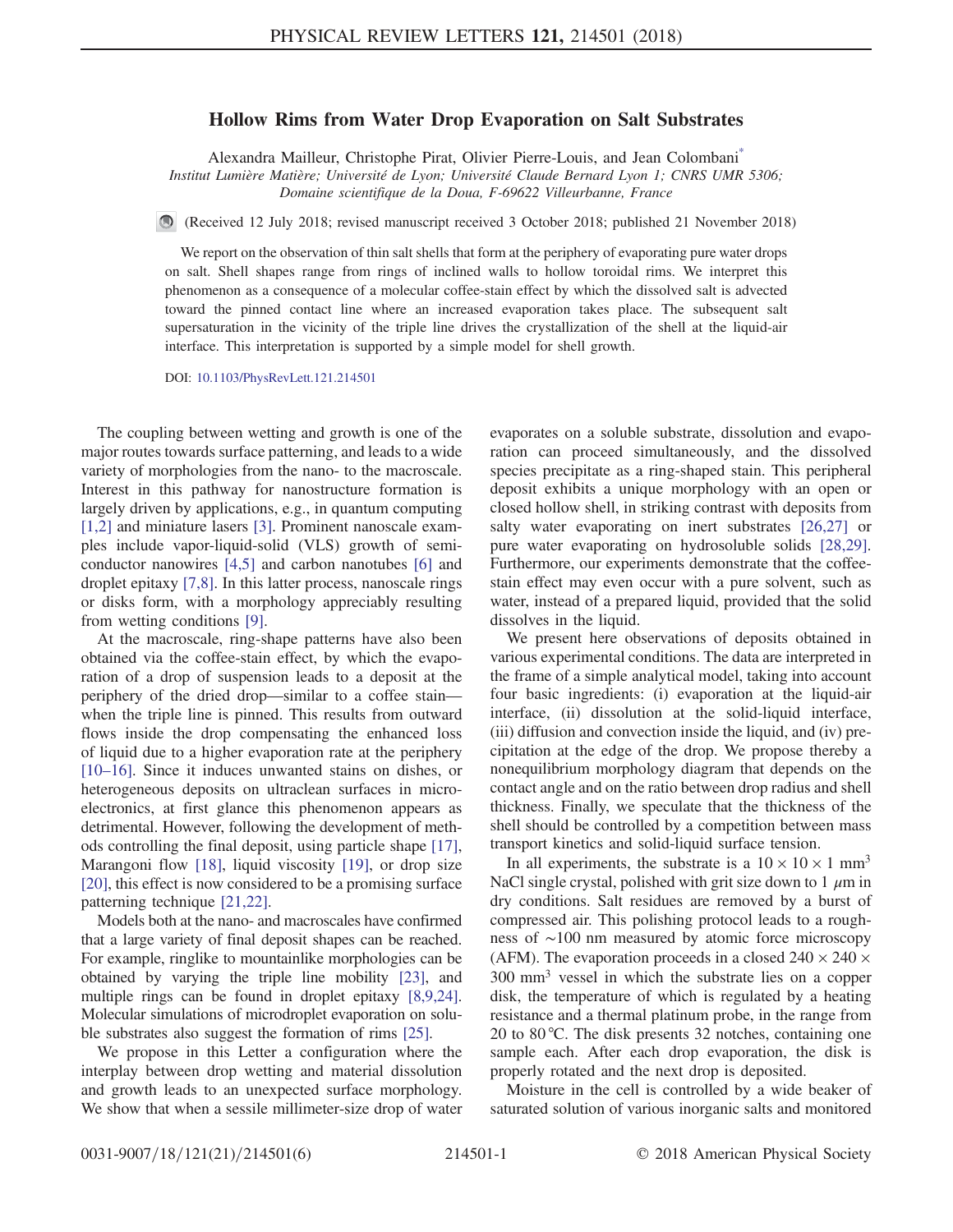## Hollow Rims from Water Drop Evaporation on Salt Substrates

Alexandra Mailleur, Christophe Pirat, Olivier Pierre-Louis, and Jean Colombani\*

Institut Lumière Matière; Université de Lyon; Université Claude Bernard Lyon 1; CNRS UMR 5306; Domaine scientifique de la Doua, F-69622 Villeurbanne, France

(Received 12 July 2018; revised manuscript received 3 October 2018; published 21 November 2018)

We report on the observation of thin salt shells that form at the periphery of evaporating pure water drops on salt. Shell shapes range from rings of inclined walls to hollow toroidal rims. We interpret this phenomenon as a consequence of a molecular coffee-stain effect by which the dissolved salt is advected toward the pinned contact line where an increased evaporation takes place. The subsequent salt supersaturation in the vicinity of the triple line drives the crystallization of the shell at the liquid-air interface. This interpretation is supported by a simple model for shell growth.

DOI: [10.1103/PhysRevLett.121.214501](https://doi.org/10.1103/PhysRevLett.121.214501)

The coupling between wetting and growth is one of the major routes towards surface patterning, and leads to a wide variety of morphologies from the nano- to the macroscale. Interest in this pathway for nanostructure formation is largely driven by applications, e.g., in quantum computing [1,2] and miniature lasers [3]. Prominent nanoscale examples include vapor-liquid-solid (VLS) growth of semiconductor nanowires [4,5] and carbon nanotubes [6] and droplet epitaxy [7,8]. In this latter process, nanoscale rings or disks form, with a morphology appreciably resulting from wetting conditions [9].

At the macroscale, ring-shape patterns have also been obtained via the coffee-stain effect, by which the evaporation of a drop of suspension leads to a deposit at the periphery of the dried drop—similar to a coffee stain when the triple line is pinned. This results from outward flows inside the drop compensating the enhanced loss of liquid due to a higher evaporation rate at the periphery [10–16]. Since it induces unwanted stains on dishes, or heterogeneous deposits on ultraclean surfaces in microelectronics, at first glance this phenomenon appears as detrimental. However, following the development of methods controlling the final deposit, using particle shape [17], Marangoni flow [18], liquid viscosity [19], or drop size [20], this effect is now considered to be a promising surface patterning technique [21,22].

Models both at the nano- and macroscales have confirmed that a large variety of final deposit shapes can be reached. For example, ringlike to mountainlike morphologies can be obtained by varying the triple line mobility [23], and multiple rings can be found in droplet epitaxy [8,9,24]. Molecular simulations of microdroplet evaporation on soluble substrates also suggest the formation of rims [25].

We propose in this Letter a configuration where the interplay between drop wetting and material dissolution and growth leads to an unexpected surface morphology. We show that when a sessile millimeter-size drop of water evaporates on a soluble substrate, dissolution and evaporation can proceed simultaneously, and the dissolved species precipitate as a ring-shaped stain. This peripheral deposit exhibits a unique morphology with an open or closed hollow shell, in striking contrast with deposits from salty water evaporating on inert substrates [26,27] or pure water evaporating on hydrosoluble solids [28,29]. Furthermore, our experiments demonstrate that the coffeestain effect may even occur with a pure solvent, such as water, instead of a prepared liquid, provided that the solid dissolves in the liquid.

We present here observations of deposits obtained in various experimental conditions. The data are interpreted in the frame of a simple analytical model, taking into account four basic ingredients: (i) evaporation at the liquid-air interface, (ii) dissolution at the solid-liquid interface, (iii) diffusion and convection inside the liquid, and (iv) precipitation at the edge of the drop. We propose thereby a nonequilibrium morphology diagram that depends on the contact angle and on the ratio between drop radius and shell thickness. Finally, we speculate that the thickness of the shell should be controlled by a competition between mass transport kinetics and solid-liquid surface tension.

In all experiments, the substrate is a  $10 \times 10 \times 1$  mm<sup>3</sup> NaCl single crystal, polished with grit size down to 1  $\mu$ m in dry conditions. Salt residues are removed by a burst of compressed air. This polishing protocol leads to a roughness of ∼100 nm measured by atomic force microscopy (AFM). The evaporation proceeds in a closed  $240 \times 240 \times$ 300 mm<sup>3</sup> vessel in which the substrate lies on a copper disk, the temperature of which is regulated by a heating resistance and a thermal platinum probe, in the range from 20 to 80 °C. The disk presents 32 notches, containing one sample each. After each drop evaporation, the disk is properly rotated and the next drop is deposited.

Moisture in the cell is controlled by a wide beaker of saturated solution of various inorganic salts and monitored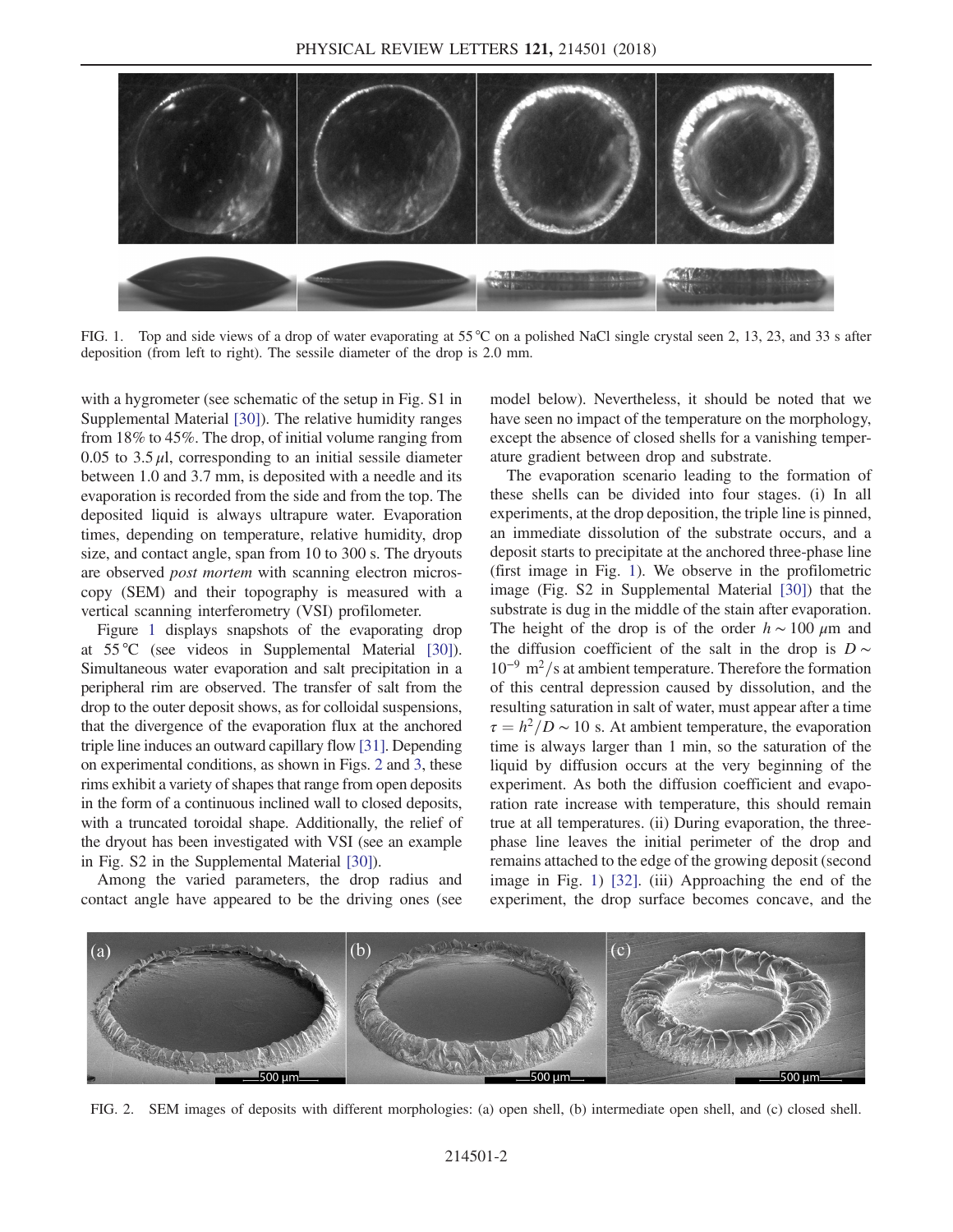

FIG. 1. Top and side views of a drop of water evaporating at 55 °C on a polished NaCl single crystal seen 2, 13, 23, and 33 s after deposition (from left to right). The sessile diameter of the drop is 2.0 mm.

with a hygrometer (see schematic of the setup in Fig. S1 in Supplemental Material [30]). The relative humidity ranges from 18% to 45%. The drop, of initial volume ranging from 0.05 to 3.5  $\mu$ l, corresponding to an initial sessile diameter between 1.0 and 3.7 mm, is deposited with a needle and its evaporation is recorded from the side and from the top. The deposited liquid is always ultrapure water. Evaporation times, depending on temperature, relative humidity, drop size, and contact angle, span from 10 to 300 s. The dryouts are observed *post mortem* with scanning electron microscopy (SEM) and their topography is measured with a vertical scanning interferometry (VSI) profilometer.

Figure 1 displays snapshots of the evaporating drop at 55 °C (see videos in Supplemental Material [30]). Simultaneous water evaporation and salt precipitation in a peripheral rim are observed. The transfer of salt from the drop to the outer deposit shows, as for colloidal suspensions, that the divergence of the evaporation flux at the anchored triple line induces an outward capillary flow [31]. Depending on experimental conditions, as shown in Figs. 2 and 3, these rims exhibit a variety of shapes that range from open deposits in the form of a continuous inclined wall to closed deposits, with a truncated toroidal shape. Additionally, the relief of the dryout has been investigated with VSI (see an example in Fig. S2 in the Supplemental Material [30]).

Among the varied parameters, the drop radius and contact angle have appeared to be the driving ones (see model below). Nevertheless, it should be noted that we have seen no impact of the temperature on the morphology, except the absence of closed shells for a vanishing temperature gradient between drop and substrate.

The evaporation scenario leading to the formation of these shells can be divided into four stages. (i) In all experiments, at the drop deposition, the triple line is pinned, an immediate dissolution of the substrate occurs, and a deposit starts to precipitate at the anchored three-phase line (first image in Fig. 1). We observe in the profilometric image (Fig. S2 in Supplemental Material [30]) that the substrate is dug in the middle of the stain after evaporation. The height of the drop is of the order  $h \sim 100 \mu m$  and the diffusion coefficient of the salt in the drop is  $D \sim$  $10^{-9}$  m<sup>2</sup>/s at ambient temperature. Therefore the formation of this central depression caused by dissolution, and the resulting saturation in salt of water, must appear after a time  $\tau = h^2/D \sim 10$  s. At ambient temperature, the evaporation time is always larger than 1 min, so the saturation of the liquid by diffusion occurs at the very beginning of the experiment. As both the diffusion coefficient and evaporation rate increase with temperature, this should remain true at all temperatures. (ii) During evaporation, the threephase line leaves the initial perimeter of the drop and remains attached to the edge of the growing deposit (second image in Fig. 1) [32]. (iii) Approaching the end of the experiment, the drop surface becomes concave, and the



FIG. 2. SEM images of deposits with different morphologies: (a) open shell, (b) intermediate open shell, and (c) closed shell.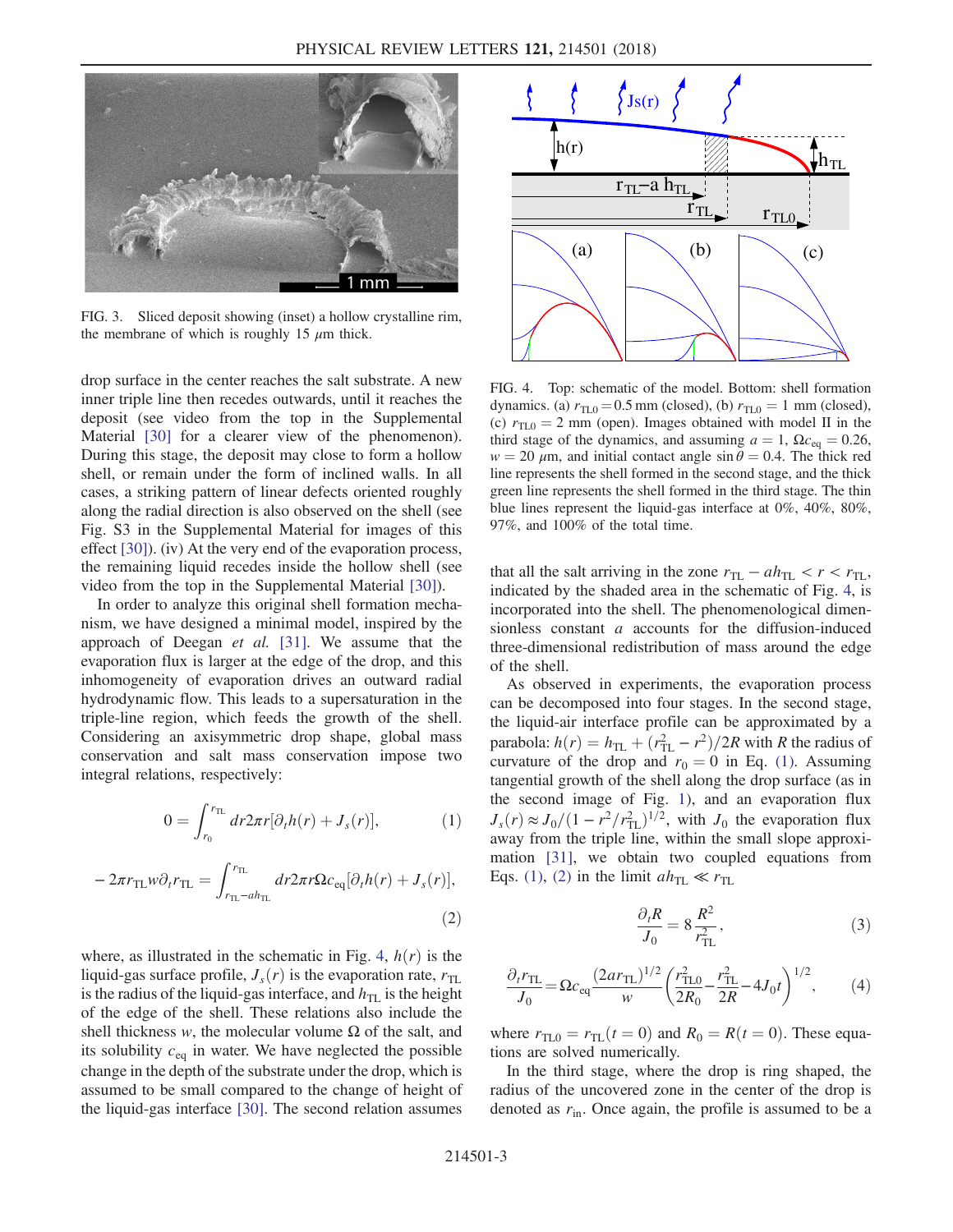

FIG. 3. Sliced deposit showing (inset) a hollow crystalline rim, the membrane of which is roughly 15  $\mu$ m thick.

drop surface in the center reaches the salt substrate. A new inner triple line then recedes outwards, until it reaches the deposit (see video from the top in the Supplemental Material [30] for a clearer view of the phenomenon). During this stage, the deposit may close to form a hollow shell, or remain under the form of inclined walls. In all cases, a striking pattern of linear defects oriented roughly along the radial direction is also observed on the shell (see Fig. S3 in the Supplemental Material for images of this effect [30]). (iv) At the very end of the evaporation process, the remaining liquid recedes inside the hollow shell (see video from the top in the Supplemental Material [30]).

In order to analyze this original shell formation mechanism, we have designed a minimal model, inspired by the approach of Deegan et al. [31]. We assume that the evaporation flux is larger at the edge of the drop, and this inhomogeneity of evaporation drives an outward radial hydrodynamic flow. This leads to a supersaturation in the triple-line region, which feeds the growth of the shell. Considering an axisymmetric drop shape, global mass conservation and salt mass conservation impose two integral relations, respectively:

$$
0 = \int_{r_0}^{r_{\text{TL}}} dr 2\pi r [\partial_t h(r) + J_s(r)], \qquad (1)
$$

$$
-2\pi r_{\rm TL} w \partial_t r_{\rm TL} = \int_{r_{\rm TL}-ah_{\rm TL}}^{r_{\rm TL}} dr 2\pi r \Omega c_{\rm eq} [\partial_t h(r) + J_s(r)],
$$
\n(2)

where, as illustrated in the schematic in Fig. 4,  $h(r)$  is the liquid-gas surface profile,  $J_s(r)$  is the evaporation rate,  $r_{TL}$ is the radius of the liquid-gas interface, and  $h_{\text{TL}}$  is the height of the edge of the shell. These relations also include the shell thickness w, the molecular volume  $\Omega$  of the salt, and its solubility  $c_{eq}$  in water. We have neglected the possible change in the depth of the substrate under the drop, which is assumed to be small compared to the change of height of the liquid-gas interface [30]. The second relation assumes



FIG. 4. Top: schematic of the model. Bottom: shell formation dynamics. (a)  $r_{\text{TL}0} = 0.5$  mm (closed), (b)  $r_{\text{TL}0} = 1$  mm (closed), (c)  $r_{\text{TI},0} = 2$  mm (open). Images obtained with model II in the third stage of the dynamics, and assuming  $a = 1$ ,  $\Omega c_{eq} = 0.26$ ,  $w = 20 \mu m$ , and initial contact angle  $\sin \theta = 0.4$ . The thick red line represents the shell formed in the second stage, and the thick green line represents the shell formed in the third stage. The thin blue lines represent the liquid-gas interface at 0%, 40%, 80%, 97%, and 100% of the total time.

that all the salt arriving in the zone  $r_{TL} - ah_{TL} < r < r_{TL}$ , indicated by the shaded area in the schematic of Fig. 4, is incorporated into the shell. The phenomenological dimensionless constant a accounts for the diffusion-induced three-dimensional redistribution of mass around the edge of the shell.

As observed in experiments, the evaporation process can be decomposed into four stages. In the second stage, the liquid-air interface profile can be approximated by a parabola:  $h(r) = h_{\text{TL}} + (r_{\text{TL}}^2 - r^2)/2R$  with R the radius of curvature of the drop and  $r_0 = 0$  in Eq. (1). Assuming tangential growth of the shell along the drop surface (as in the second image of Fig. 1), and an evaporation flux  $J_s(r) \approx J_0/(1 - r^2/r_{\text{TL}}^2)^{1/2}$ , with  $J_0$  the evaporation flux away from the triple line, within the small slope approximation [31], we obtain two coupled equations from Eqs. (1), (2) in the limit  $ah_{TL} \ll r_{TL}$ 

$$
\frac{\partial_t R}{J_0} = 8 \frac{R^2}{r_{\text{TL}}^2},\tag{3}
$$

$$
\frac{\partial_t r_{\rm TL}}{J_0} = \Omega c_{\rm eq} \frac{(2ar_{\rm TL})^{1/2}}{w} \left(\frac{r_{\rm TL0}^2}{2R_0} - \frac{r_{\rm TL}^2}{2R} - 4J_0 t\right)^{1/2},\tag{4}
$$

where  $r_{\text{TL}0} = r_{\text{TL}}(t = 0)$  and  $R_0 = R(t = 0)$ . These equations are solved numerically.

In the third stage, where the drop is ring shaped, the radius of the uncovered zone in the center of the drop is denoted as  $r_{\text{in}}$ . Once again, the profile is assumed to be a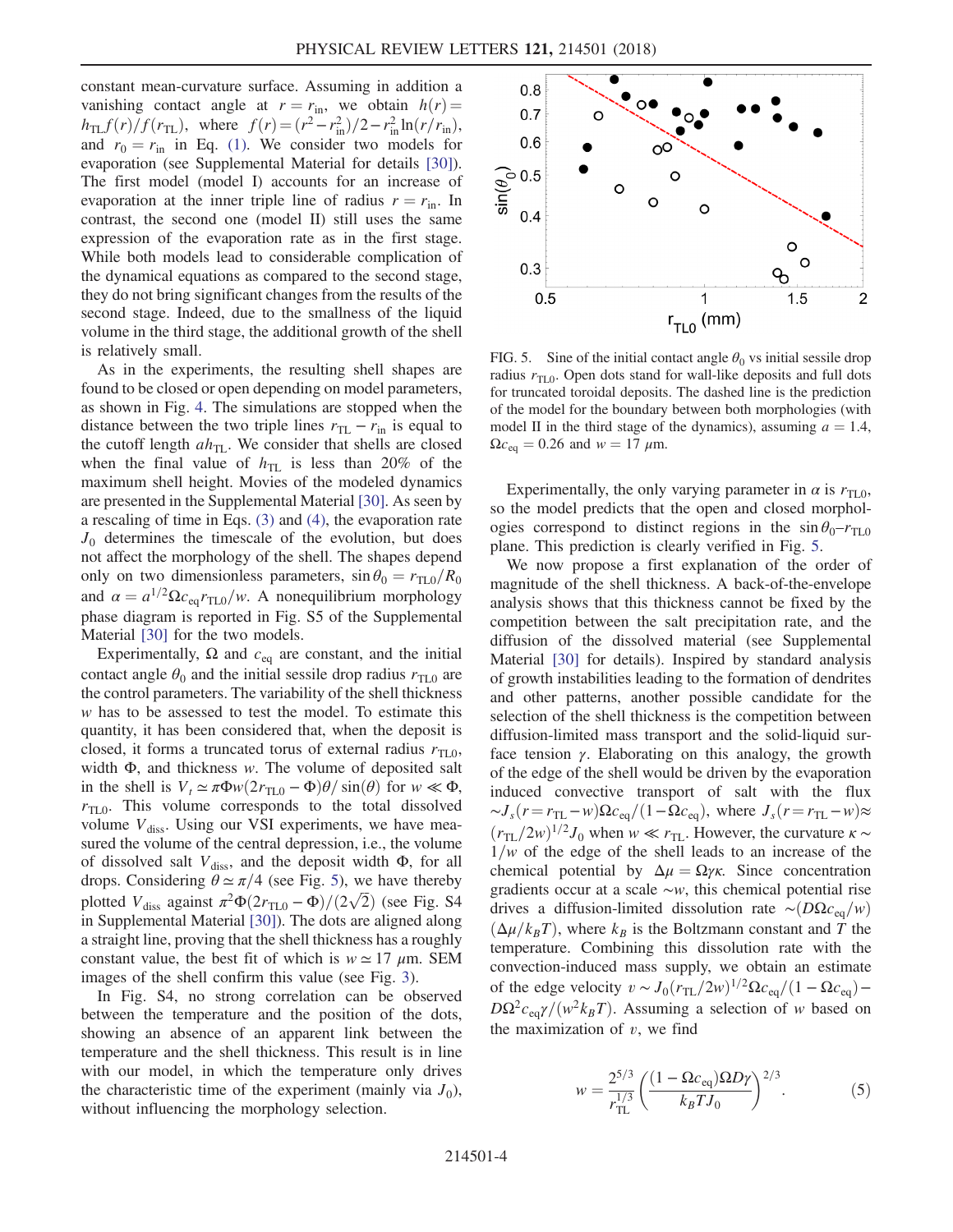constant mean-curvature surface. Assuming in addition a vanishing contact angle at  $r = r_{\text{in}}$ , we obtain  $h(r) =$  $h_{\text{TL}}f(r)/f(r_{\text{TL}})$ , where  $f(r) = (r^2 - r_{\text{in}}^2)/2 - r_{\text{in}}^2 \ln(r/r_{\text{in}})$ , and  $r_0 = r_{\text{in}}$  in Eq. (1). We consider two models for evaporation (see Supplemental Material for details [30]). The first model (model I) accounts for an increase of evaporation at the inner triple line of radius  $r = r_{\text{in}}$ . In contrast, the second one (model II) still uses the same expression of the evaporation rate as in the first stage. While both models lead to considerable complication of the dynamical equations as compared to the second stage, they do not bring significant changes from the results of the second stage. Indeed, due to the smallness of the liquid volume in the third stage, the additional growth of the shell is relatively small.

As in the experiments, the resulting shell shapes are found to be closed or open depending on model parameters, as shown in Fig. 4. The simulations are stopped when the distance between the two triple lines  $r_{TL} - r_{in}$  is equal to the cutoff length  $ah_{\text{TL}}$ . We consider that shells are closed when the final value of  $h_{\text{TL}}$  is less than 20% of the maximum shell height. Movies of the modeled dynamics are presented in the Supplemental Material [30]. As seen by a rescaling of time in Eqs. (3) and (4), the evaporation rate  $J_0$  determines the timescale of the evolution, but does not affect the morphology of the shell. The shapes depend only on two dimensionless parameters,  $\sin \theta_0 = r_{\text{TL}0}/R_0$ and  $\alpha = a^{1/2} \Omega c_{eq} r_{TLO}/w$ . A nonequilibrium morphology phase diagram is reported in Fig. S5 of the Supplemental Material [30] for the two models.

Experimentally,  $\Omega$  and  $c_{eq}$  are constant, and the initial contact angle  $\theta_0$  and the initial sessile drop radius  $r_{\text{TL}0}$  are the control parameters. The variability of the shell thickness w has to be assessed to test the model. To estimate this quantity, it has been considered that, when the deposit is closed, it forms a truncated torus of external radius  $r_{\text{TL0}}$ , width  $\Phi$ , and thickness w. The volume of deposited salt in the shell is  $V_t \simeq \pi \Phi w (2r_{\text{TL}0} - \Phi) \theta / \sin(\theta)$  for  $w \ll \Phi$ ,  $r_{\text{TL}0}$ . This volume corresponds to the total dissolved volume  $V_{\text{diss}}$ . Using our VSI experiments, we have measured the volume of the central depression, i.e., the volume of dissolved salt  $V_{\text{diss}}$ , and the deposit width  $\Phi$ , for all drops. Considering  $\theta \simeq \pi/4$  (see Fig. 5), we have thereby plotted  $V_{\text{diss}}$  against  $\pi^2 \Phi(2r_{\text{TLO}} - \Phi)/(2\sqrt{2})$  (see Fig. S4 in Supplemental Material [30]). The dots are aligned along a straight line, proving that the shell thickness has a roughly constant value, the best fit of which is  $w \approx 17 \mu m$ . SEM images of the shell confirm this value (see Fig. 3).

In Fig. S4, no strong correlation can be observed between the temperature and the position of the dots, showing an absence of an apparent link between the temperature and the shell thickness. This result is in line with our model, in which the temperature only drives the characteristic time of the experiment (mainly via  $J_0$ ), without influencing the morphology selection.



FIG. 5. Sine of the initial contact angle  $\theta_0$  vs initial sessile drop radius  $r_{\text{TL}0}$ . Open dots stand for wall-like deposits and full dots for truncated toroidal deposits. The dashed line is the prediction of the model for the boundary between both morphologies (with model II in the third stage of the dynamics), assuming  $a = 1.4$ ,  $\Omega c_{\text{eq}} = 0.26$  and  $w = 17 \mu \text{m}$ .

Experimentally, the only varying parameter in  $\alpha$  is  $r_{\text{TL}0}$ , so the model predicts that the open and closed morphologies correspond to distinct regions in the  $\sin \theta_0 - r_{\text{TL}}$ plane. This prediction is clearly verified in Fig. 5.

We now propose a first explanation of the order of magnitude of the shell thickness. A back-of-the-envelope analysis shows that this thickness cannot be fixed by the competition between the salt precipitation rate, and the diffusion of the dissolved material (see Supplemental Material [30] for details). Inspired by standard analysis of growth instabilities leading to the formation of dendrites and other patterns, another possible candidate for the selection of the shell thickness is the competition between diffusion-limited mass transport and the solid-liquid surface tension  $\gamma$ . Elaborating on this analogy, the growth of the edge of the shell would be driven by the evaporation induced convective transport of salt with the flux  $\sim J_s(r=r_{\text{TL}}-w)\Omega c_{\text{eq}}/(1-\Omega c_{\text{eq}})$ , where  $J_s(r=r_{\text{TL}}-w)\approx$  $(r_{\text{TL}}/2w)^{1/2}J_0$  when  $w \ll r_{\text{TL}}$ . However, the curvature  $\kappa \sim$  $1/w$  of the edge of the shell leads to an increase of the chemical potential by  $\Delta \mu = \Omega \gamma \kappa$ . Since concentration gradients occur at a scale ∼w, this chemical potential rise drives a diffusion-limited dissolution rate ~ $(DΩc_{eq}/w)$  $(\Delta \mu / k_B T)$ , where  $k_B$  is the Boltzmann constant and T the temperature. Combining this dissolution rate with the convection-induced mass supply, we obtain an estimate of the edge velocity  $v \sim J_0 (r_{\text{TL}}/2w)^{1/2} \Omega c_{\text{eq}}/(1 - \Omega c_{\text{eq}})$  –  $D\Omega^2 c_{eq}\gamma/(w^2k_BT)$ . Assuming a selection of w based on the maximization of  $v$ , we find

$$
w = \frac{2^{5/3}}{r_{\rm TL}^{1/3}} \left( \frac{(1 - \Omega c_{\rm eq}) \Omega D \gamma}{k_B T J_0} \right)^{2/3}.
$$
 (5)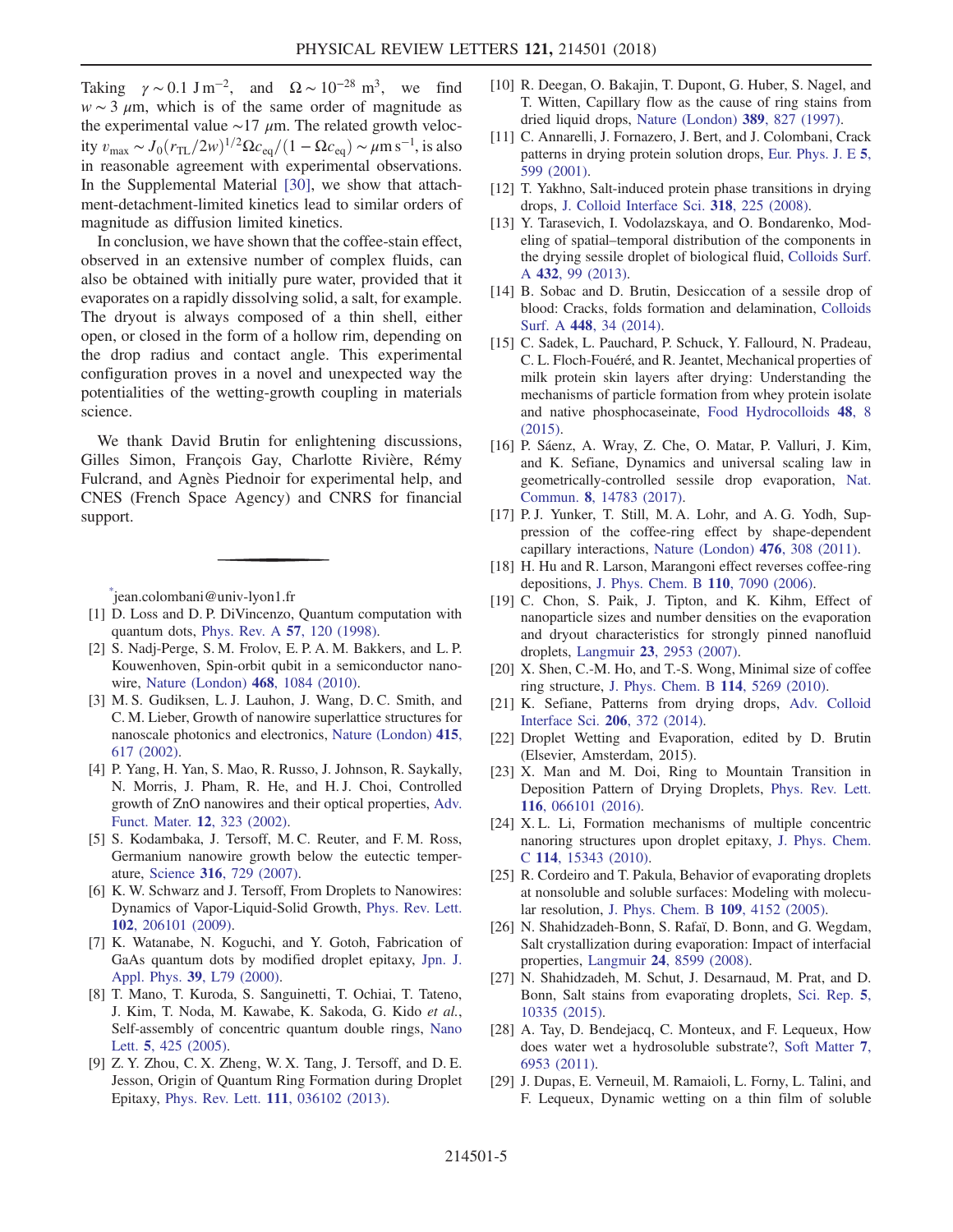Taking  $\gamma \sim 0.1 \text{ J m}^{-2}$ , and  $\Omega \sim 10^{-28} \text{ m}^3$ , we find  $w \sim 3 \mu m$ , which is of the same order of magnitude as the experimental value  $\sim$ 17  $\mu$ m. The related growth velocity  $v_{\text{max}} \sim J_0 (r_{\text{TL}}/2w)^{1/2} \Omega c_{\text{eq}} / (1 - \Omega c_{\text{eq}}) \sim \mu \text{m s}^{-1}$ , is also in reasonable agreement with experimental observations. In the Supplemental Material [30], we show that attachment-detachment-limited kinetics lead to similar orders of magnitude as diffusion limited kinetics.

In conclusion, we have shown that the coffee-stain effect, observed in an extensive number of complex fluids, can also be obtained with initially pure water, provided that it evaporates on a rapidly dissolving solid, a salt, for example. The dryout is always composed of a thin shell, either open, or closed in the form of a hollow rim, depending on the drop radius and contact angle. This experimental configuration proves in a novel and unexpected way the potentialities of the wetting-growth coupling in materials science.

We thank David Brutin for enlightening discussions, Gilles Simon, François Gay, Charlotte Rivière, Rémy Fulcrand, and Agnès Piednoir for experimental help, and CNES (French Space Agency) and CNRS for financial support.

\* jean.colombani@univ-lyon1.fr

- [1] D. Loss and D. P. DiVincenzo, Quantum computation with quantum dots, [Phys. Rev. A](https://doi.org/10.1103/PhysRevA.57.120) 57, 120 (1998).
- [2] S. Nadj-Perge, S. M. Frolov, E. P. A. M. Bakkers, and L. P. Kouwenhoven, Spin-orbit qubit in a semiconductor nanowire, [Nature \(London\)](https://doi.org/10.1038/nature09682) 468, 1084 (2010).
- [3] M. S. Gudiksen, L. J. Lauhon, J. Wang, D. C. Smith, and C. M. Lieber, Growth of nanowire superlattice structures for nanoscale photonics and electronics, [Nature \(London\)](https://doi.org/10.1038/415617a) 415, [617 \(2002\)](https://doi.org/10.1038/415617a).
- [4] P. Yang, H. Yan, S. Mao, R. Russo, J. Johnson, R. Saykally, N. Morris, J. Pham, R. He, and H. J. Choi, Controlled growth of ZnO nanowires and their optical properties, [Adv.](https://doi.org/10.1002/1616-3028(20020517)12:5%3C323::AID-ADFM323%3E3.0.CO;2-G) [Funct. Mater.](https://doi.org/10.1002/1616-3028(20020517)12:5%3C323::AID-ADFM323%3E3.0.CO;2-G) 12, 323 (2002).
- [5] S. Kodambaka, J. Tersoff, M. C. Reuter, and F. M. Ross, Germanium nanowire growth below the eutectic temperature, Science 316[, 729 \(2007\)](https://doi.org/10.1126/science.1139105).
- [6] K. W. Schwarz and J. Tersoff, From Droplets to Nanowires: Dynamics of Vapor-Liquid-Solid Growth, [Phys. Rev. Lett.](https://doi.org/10.1103/PhysRevLett.102.206101) 102[, 206101 \(2009\).](https://doi.org/10.1103/PhysRevLett.102.206101)
- [7] K. Watanabe, N. Koguchi, and Y. Gotoh, Fabrication of GaAs quantum dots by modified droplet epitaxy, [Jpn. J.](https://doi.org/10.1143/JJAP.39.L79) Appl. Phys. 39[, L79 \(2000\)](https://doi.org/10.1143/JJAP.39.L79).
- [8] T. Mano, T. Kuroda, S. Sanguinetti, T. Ochiai, T. Tateno, J. Kim, T. Noda, M. Kawabe, K. Sakoda, G. Kido et al., Self-assembly of concentric quantum double rings, [Nano](https://doi.org/10.1021/nl048192%2B) Lett. 5[, 425 \(2005\).](https://doi.org/10.1021/nl048192%2B)
- [9] Z. Y. Zhou, C. X. Zheng, W. X. Tang, J. Tersoff, and D. E. Jesson, Origin of Quantum Ring Formation during Droplet Epitaxy, Phys. Rev. Lett. 111[, 036102 \(2013\)](https://doi.org/10.1103/PhysRevLett.111.036102).
- [10] R. Deegan, O. Bakajin, T. Dupont, G. Huber, S. Nagel, and T. Witten, Capillary flow as the cause of ring stains from dried liquid drops, [Nature \(London\)](https://doi.org/10.1038/39827) 389, 827 (1997).
- [11] C. Annarelli, J. Fornazero, J. Bert, and J. Colombani, Crack patterns in drying protein solution drops, [Eur. Phys. J. E](https://doi.org/10.1007/s101890170043) 5, [599 \(2001\)](https://doi.org/10.1007/s101890170043).
- [12] T. Yakhno, Salt-induced protein phase transitions in drying drops, [J. Colloid Interface Sci.](https://doi.org/10.1016/j.jcis.2007.10.020) 318, 225 (2008).
- [13] Y. Tarasevich, I. Vodolazskaya, and O. Bondarenko, Modeling of spatial–temporal distribution of the components in the drying sessile droplet of biological fluid, [Colloids Surf.](https://doi.org/10.1016/j.colsurfa.2013.04.069) A 432[, 99 \(2013\).](https://doi.org/10.1016/j.colsurfa.2013.04.069)
- [14] B. Sobac and D. Brutin, Desiccation of a sessile drop of blood: Cracks, folds formation and delamination, [Colloids](https://doi.org/10.1016/j.colsurfa.2014.01.076) Surf. A 448[, 34 \(2014\).](https://doi.org/10.1016/j.colsurfa.2014.01.076)
- [15] C. Sadek, L. Pauchard, P. Schuck, Y. Fallourd, N. Pradeau, C. L. Floch-Fouéré, and R. Jeantet, Mechanical properties of milk protein skin layers after drying: Understanding the mechanisms of particle formation from whey protein isolate and native phosphocaseinate, [Food Hydrocolloids](https://doi.org/10.1016/j.foodhyd.2015.01.014) 48, 8 [\(2015\).](https://doi.org/10.1016/j.foodhyd.2015.01.014)
- [16] P. Sáenz, A. Wray, Z. Che, O. Matar, P. Valluri, J. Kim, and K. Sefiane, Dynamics and universal scaling law in geometrically-controlled sessile drop evaporation, [Nat.](https://doi.org/10.1038/ncomms14783) Commun. 8[, 14783 \(2017\)](https://doi.org/10.1038/ncomms14783).
- [17] P.J. Yunker, T. Still, M.A. Lohr, and A.G. Yodh, Suppression of the coffee-ring effect by shape-dependent capillary interactions, [Nature \(London\)](https://doi.org/10.1038/nature10344) 476, 308 (2011).
- [18] H. Hu and R. Larson, Marangoni effect reverses coffee-ring depositions, [J. Phys. Chem. B](https://doi.org/10.1021/jp0609232) 110, 7090 (2006).
- [19] C. Chon, S. Paik, J. Tipton, and K. Kihm, Effect of nanoparticle sizes and number densities on the evaporation and dryout characteristics for strongly pinned nanofluid droplets, Langmuir 23[, 2953 \(2007\).](https://doi.org/10.1021/la061661y)
- [20] X. Shen, C.-M. Ho, and T.-S. Wong, Minimal size of coffee ring structure, [J. Phys. Chem. B](https://doi.org/10.1021/jp912190v) 114, 5269 (2010).
- [21] K. Sefiane, Patterns from drying drops, [Adv. Colloid](https://doi.org/10.1016/j.cis.2013.05.002) [Interface Sci.](https://doi.org/10.1016/j.cis.2013.05.002) 206, 372 (2014).
- [22] Droplet Wetting and Evaporation, edited by D. Brutin (Elsevier, Amsterdam, 2015).
- [23] X. Man and M. Doi, Ring to Mountain Transition in Deposition Pattern of Drying Droplets, [Phys. Rev. Lett.](https://doi.org/10.1103/PhysRevLett.116.066101) 116[, 066101 \(2016\).](https://doi.org/10.1103/PhysRevLett.116.066101)
- [24] X. L. Li, Formation mechanisms of multiple concentric nanoring structures upon droplet epitaxy, [J. Phys. Chem.](https://doi.org/10.1021/jp105094q) C 114[, 15343 \(2010\).](https://doi.org/10.1021/jp105094q)
- [25] R. Cordeiro and T. Pakula, Behavior of evaporating droplets at nonsoluble and soluble surfaces: Modeling with molecular resolution, [J. Phys. Chem. B](https://doi.org/10.1021/jp045329b) 109, 4152 (2005).
- [26] N. Shahidzadeh-Bonn, S. Rafaï, D. Bonn, and G. Wegdam, Salt crystallization during evaporation: Impact of interfacial properties, Langmuir 24[, 8599 \(2008\)](https://doi.org/10.1021/la8005629).
- [27] N. Shahidzadeh, M. Schut, J. Desarnaud, M. Prat, and D. Bonn, Salt stains from evaporating droplets, [Sci. Rep.](https://doi.org/10.1038/srep10335) 5, [10335 \(2015\).](https://doi.org/10.1038/srep10335)
- [28] A. Tay, D. Bendejacq, C. Monteux, and F. Lequeux, How does water wet a hydrosoluble substrate?, [Soft Matter](https://doi.org/10.1039/c1sm05419h) 7, [6953 \(2011\)](https://doi.org/10.1039/c1sm05419h).
- [29] J. Dupas, E. Verneuil, M. Ramaioli, L. Forny, L. Talini, and F. Lequeux, Dynamic wetting on a thin film of soluble